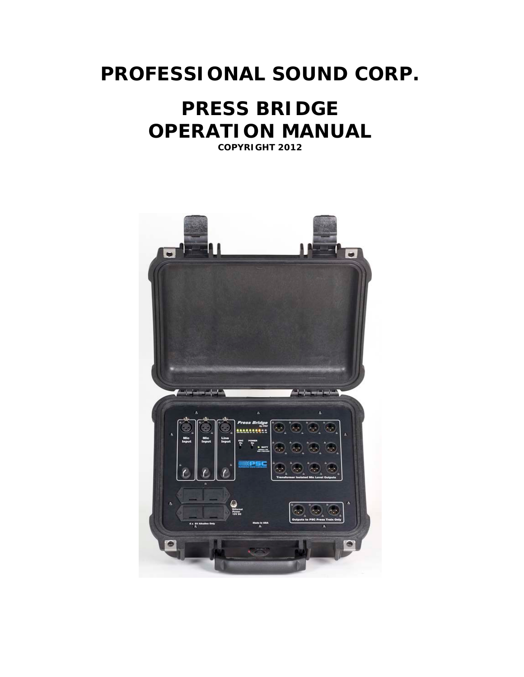## **PROFESSIONAL SOUND CORP.**

## **PRESS BRIDGE OPERATION MANUAL**

**COPYRIGHT 2012**

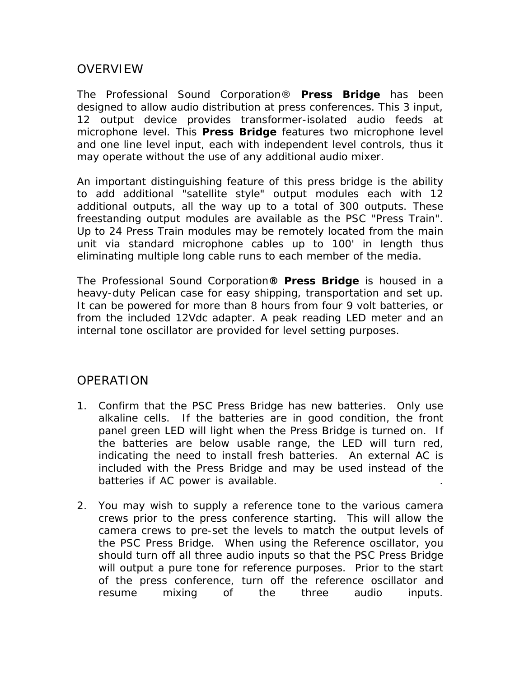## **OVERVIEW**

The Professional Sound Corporation® **Press Bridge** has been designed to allow audio distribution at press conferences. This 3 input, 12 output device provides transformer-isolated audio feeds at microphone level. This **Press Bridge** features two microphone level and one line level input, each with independent level controls, thus it may operate without the use of any additional audio mixer.

An important distinguishing feature of this press bridge is the ability to add additional "satellite style" output modules each with 12 additional outputs, all the way up to a total of 300 outputs. These freestanding output modules are available as the PSC "Press Train". Up to 24 Press Train modules may be remotely located from the main unit via standard microphone cables up to 100' in length thus eliminating multiple long cable runs to each member of the media.

The Professional Sound Corporation**® Press Bridge** is housed in a heavy-duty Pelican case for easy shipping, transportation and set up. It can be powered for more than 8 hours from four 9 volt batteries, or from the included 12Vdc adapter. A peak reading LED meter and an internal tone oscillator are provided for level setting purposes.

## **OPERATION**

- 1. Confirm that the PSC Press Bridge has new batteries. Only use alkaline cells. If the batteries are in good condition, the front panel green LED will light when the Press Bridge is turned on. If the batteries are below usable range, the LED will turn red, indicating the need to install fresh batteries. An external AC is included with the Press Bridge and may be used instead of the batteries if AC power is available.
- 2. You may wish to supply a reference tone to the various camera crews prior to the press conference starting. This will allow the camera crews to pre-set the levels to match the output levels of the PSC Press Bridge. When using the Reference oscillator, you should turn off all three audio inputs so that the PSC Press Bridge will output a pure tone for reference purposes. Prior to the start of the press conference, turn off the reference oscillator and resume mixing of the three audio inputs.